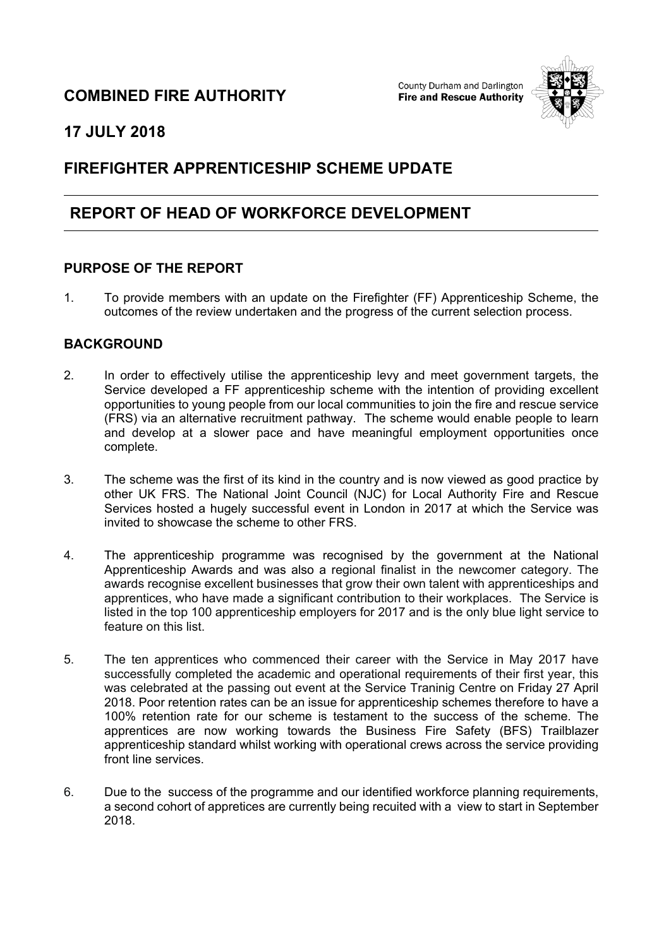## **COMBINED FIRE AUTHORITY**

County Durham and Darlington **Fire and Rescue Authority** 



## **17 JULY 2018**

# **FIREFIGHTER APPRENTICESHIP SCHEME UPDATE**

## **REPORT OF HEAD OF WORKFORCE DEVELOPMENT**

### **PURPOSE OF THE REPORT**

1. To provide members with an update on the Firefighter (FF) Apprenticeship Scheme, the outcomes of the review undertaken and the progress of the current selection process.

### **BACKGROUND**

- 2. In order to effectively utilise the apprenticeship levy and meet government targets, the Service developed a FF apprenticeship scheme with the intention of providing excellent opportunities to young people from our local communities to join the fire and rescue service (FRS) via an alternative recruitment pathway. The scheme would enable people to learn and develop at a slower pace and have meaningful employment opportunities once complete.
- 3. The scheme was the first of its kind in the country and is now viewed as good practice by other UK FRS. The National Joint Council (NJC) for Local Authority Fire and Rescue Services hosted a hugely successful event in London in 2017 at which the Service was invited to showcase the scheme to other FRS.
- 4. The apprenticeship programme was recognised by the government at the National Apprenticeship Awards and was also a regional finalist in the newcomer category. The awards recognise excellent businesses that grow their own talent with apprenticeships and apprentices, who have made a significant contribution to their workplaces. The Service is listed in the top 100 apprenticeship employers for 2017 and is the only blue light service to feature on this list.
- 5. The ten apprentices who commenced their career with the Service in May 2017 have successfully completed the academic and operational requirements of their first year, this was celebrated at the passing out event at the Service Traninig Centre on Friday 27 April 2018. Poor retention rates can be an issue for apprenticeship schemes therefore to have a 100% retention rate for our scheme is testament to the success of the scheme. The apprentices are now working towards the Business Fire Safety (BFS) Trailblazer apprenticeship standard whilst working with operational crews across the service providing front line services.
- 6. Due to the success of the programme and our identified workforce planning requirements, a second cohort of appretices are currently being recuited with a view to start in September 2018.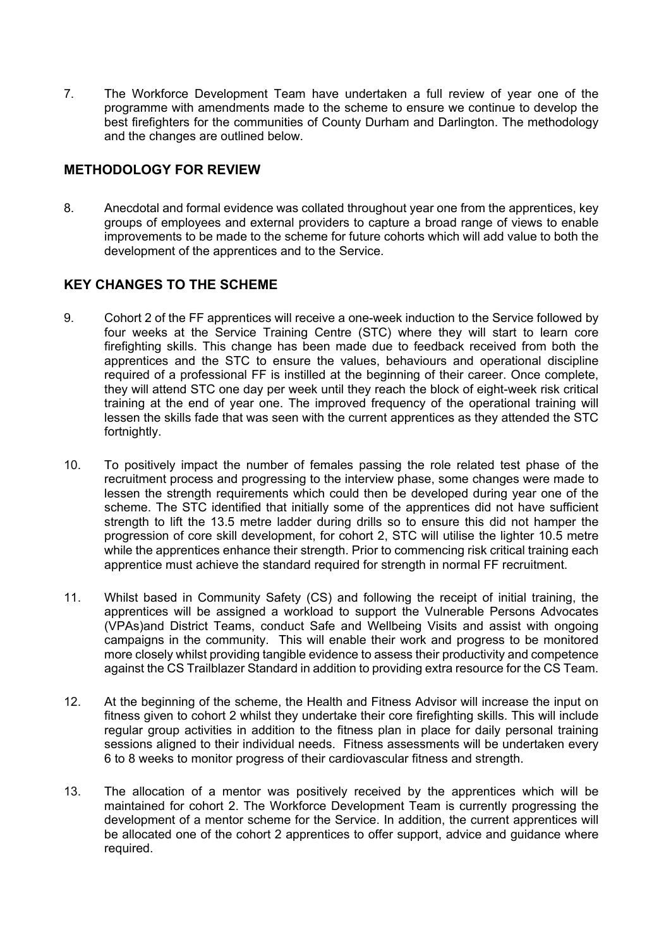7. The Workforce Development Team have undertaken a full review of year one of the programme with amendments made to the scheme to ensure we continue to develop the best firefighters for the communities of County Durham and Darlington. The methodology and the changes are outlined below.

### **METHODOLOGY FOR REVIEW**

8. Anecdotal and formal evidence was collated throughout year one from the apprentices, key groups of employees and external providers to capture a broad range of views to enable improvements to be made to the scheme for future cohorts which will add value to both the development of the apprentices and to the Service.

### **KEY CHANGES TO THE SCHEME**

- 9. Cohort 2 of the FF apprentices will receive a one-week induction to the Service followed by four weeks at the Service Training Centre (STC) where they will start to learn core firefighting skills. This change has been made due to feedback received from both the apprentices and the STC to ensure the values, behaviours and operational discipline required of a professional FF is instilled at the beginning of their career. Once complete, they will attend STC one day per week until they reach the block of eight-week risk critical training at the end of year one. The improved frequency of the operational training will lessen the skills fade that was seen with the current apprentices as they attended the STC fortnightly.
- 10. To positively impact the number of females passing the role related test phase of the recruitment process and progressing to the interview phase, some changes were made to lessen the strength requirements which could then be developed during year one of the scheme. The STC identified that initially some of the apprentices did not have sufficient strength to lift the 13.5 metre ladder during drills so to ensure this did not hamper the progression of core skill development, for cohort 2, STC will utilise the lighter 10.5 metre while the apprentices enhance their strength. Prior to commencing risk critical training each apprentice must achieve the standard required for strength in normal FF recruitment.
- 11. Whilst based in Community Safety (CS) and following the receipt of initial training, the apprentices will be assigned a workload to support the Vulnerable Persons Advocates (VPAs)and District Teams, conduct Safe and Wellbeing Visits and assist with ongoing campaigns in the community. This will enable their work and progress to be monitored more closely whilst providing tangible evidence to assess their productivity and competence against the CS Trailblazer Standard in addition to providing extra resource for the CS Team.
- 12. At the beginning of the scheme, the Health and Fitness Advisor will increase the input on fitness given to cohort 2 whilst they undertake their core firefighting skills. This will include regular group activities in addition to the fitness plan in place for daily personal training sessions aligned to their individual needs. Fitness assessments will be undertaken every 6 to 8 weeks to monitor progress of their cardiovascular fitness and strength.
- 13. The allocation of a mentor was positively received by the apprentices which will be maintained for cohort 2. The Workforce Development Team is currently progressing the development of a mentor scheme for the Service. In addition, the current apprentices will be allocated one of the cohort 2 apprentices to offer support, advice and guidance where required.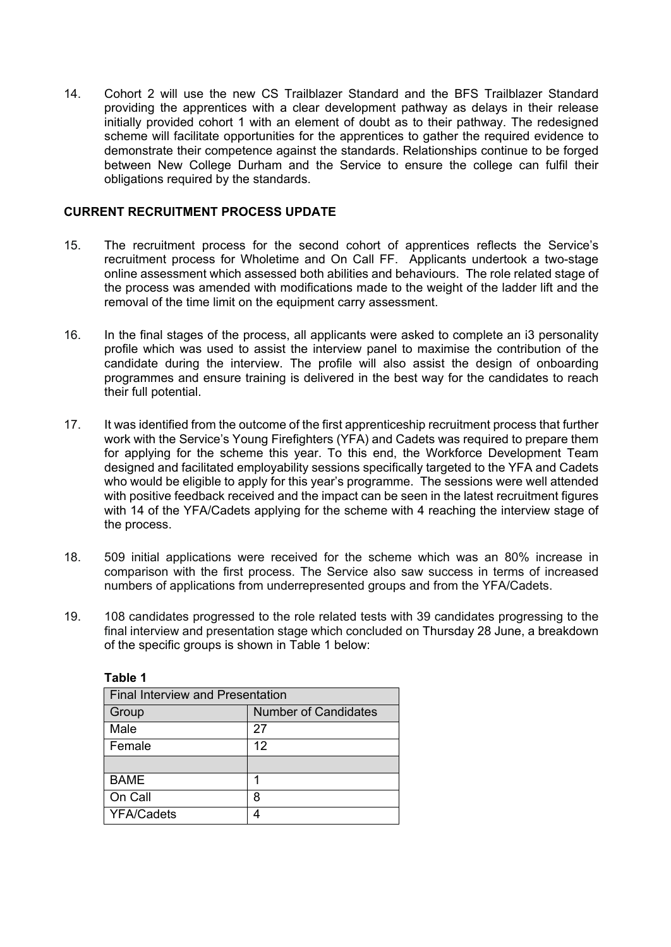14. Cohort 2 will use the new CS Trailblazer Standard and the BFS Trailblazer Standard providing the apprentices with a clear development pathway as delays in their release initially provided cohort 1 with an element of doubt as to their pathway. The redesigned scheme will facilitate opportunities for the apprentices to gather the required evidence to demonstrate their competence against the standards. Relationships continue to be forged between New College Durham and the Service to ensure the college can fulfil their obligations required by the standards.

#### **CURRENT RECRUITMENT PROCESS UPDATE**

- 15. The recruitment process for the second cohort of apprentices reflects the Service's recruitment process for Wholetime and On Call FF. Applicants undertook a two-stage online assessment which assessed both abilities and behaviours. The role related stage of the process was amended with modifications made to the weight of the ladder lift and the removal of the time limit on the equipment carry assessment.
- 16. In the final stages of the process, all applicants were asked to complete an i3 personality profile which was used to assist the interview panel to maximise the contribution of the candidate during the interview. The profile will also assist the design of onboarding programmes and ensure training is delivered in the best way for the candidates to reach their full potential.
- 17. It was identified from the outcome of the first apprenticeship recruitment process that further work with the Service's Young Firefighters (YFA) and Cadets was required to prepare them for applying for the scheme this year. To this end, the Workforce Development Team designed and facilitated employability sessions specifically targeted to the YFA and Cadets who would be eligible to apply for this year's programme. The sessions were well attended with positive feedback received and the impact can be seen in the latest recruitment figures with 14 of the YFA/Cadets applying for the scheme with 4 reaching the interview stage of the process.
- 18. 509 initial applications were received for the scheme which was an 80% increase in comparison with the first process. The Service also saw success in terms of increased numbers of applications from underrepresented groups and from the YFA/Cadets.
- 19. 108 candidates progressed to the role related tests with 39 candidates progressing to the final interview and presentation stage which concluded on Thursday 28 June, a breakdown of the specific groups is shown in Table 1 below:

| <b>Final Interview and Presentation</b> |                             |
|-----------------------------------------|-----------------------------|
| Group                                   | <b>Number of Candidates</b> |
| Male                                    | 27                          |
| Female                                  | 12                          |
|                                         |                             |
| <b>BAME</b>                             |                             |
| On Call                                 | 8                           |
| <b>YFA/Cadets</b>                       |                             |

**Table 1**